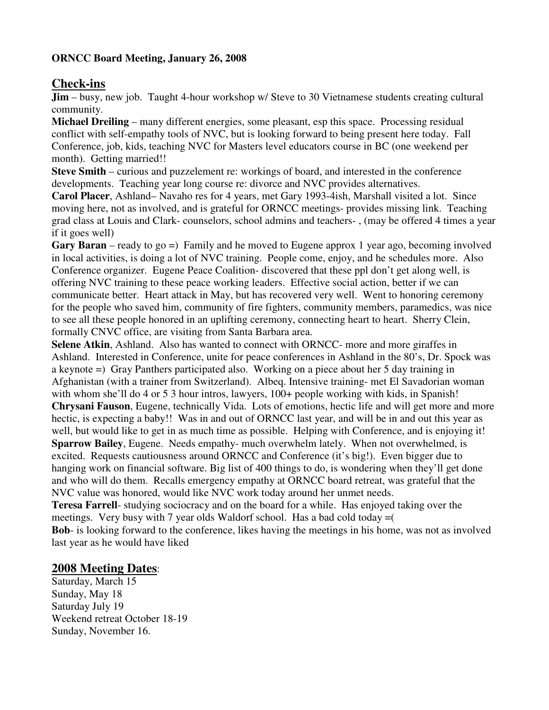#### **ORNCC Board Meeting, January 26, 2008**

# **Check-ins**

**Jim** – busy, new job. Taught 4-hour workshop w/ Steve to 30 Vietnamese students creating cultural community.

**Michael Dreiling** – many different energies, some pleasant, esp this space. Processing residual conflict with self-empathy tools of NVC, but is looking forward to being present here today. Fall Conference, job, kids, teaching NVC for Masters level educators course in BC (one weekend per month). Getting married!!

**Steve Smith** – curious and puzzelement re: workings of board, and interested in the conference developments. Teaching year long course re: divorce and NVC provides alternatives.

**Carol Placer**, Ashland– Navaho res for 4 years, met Gary 1993-4ish, Marshall visited a lot. Since moving here, not as involved, and is grateful for ORNCC meetings- provides missing link. Teaching grad class at Louis and Clark- counselors, school admins and teachers- , (may be offered 4 times a year if it goes well)

**Gary Baran** – ready to go =) Family and he moved to Eugene approx 1 year ago, becoming involved in local activities, is doing a lot of NVC training. People come, enjoy, and he schedules more. Also Conference organizer. Eugene Peace Coalition- discovered that these ppl don't get along well, is offering NVC training to these peace working leaders. Effective social action, better if we can communicate better. Heart attack in May, but has recovered very well. Went to honoring ceremony for the people who saved him, community of fire fighters, community members, paramedics, was nice to see all these people honored in an uplifting ceremony, connecting heart to heart. Sherry Clein, formally CNVC office, are visiting from Santa Barbara area.

**Selene Atkin**, Ashland. Also has wanted to connect with ORNCC- more and more giraffes in Ashland. Interested in Conference, unite for peace conferences in Ashland in the 80's, Dr. Spock was a keynote =) Gray Panthers participated also. Working on a piece about her 5 day training in Afghanistan (with a trainer from Switzerland). Albeq. Intensive training- met El Savadorian woman with whom she'll do 4 or 5 3 hour intros, lawyers, 100+ people working with kids, in Spanish! **Chrysani Fauson**, Eugene, technically Vida. Lots of emotions, hectic life and will get more and more hectic, is expecting a baby!! Was in and out of ORNCC last year, and will be in and out this year as well, but would like to get in as much time as possible. Helping with Conference, and is enjoying it! **Sparrow Bailey**, Eugene. Needs empathy- much overwhelm lately. When not overwhelmed, is excited. Requests cautiousness around ORNCC and Conference (it's big!). Even bigger due to hanging work on financial software. Big list of 400 things to do, is wondering when they'll get done and who will do them. Recalls emergency empathy at ORNCC board retreat, was grateful that the NVC value was honored, would like NVC work today around her unmet needs.

**Teresa Farrell**- studying sociocracy and on the board for a while. Has enjoyed taking over the meetings. Very busy with 7 year olds Waldorf school. Has a bad cold today =( **Bob**- is looking forward to the conference, likes having the meetings in his home, was not as involved last year as he would have liked

# **2008 Meeting Dates**:

Saturday, March 15 Sunday, May 18 Saturday July 19 Weekend retreat October 18-19 Sunday, November 16.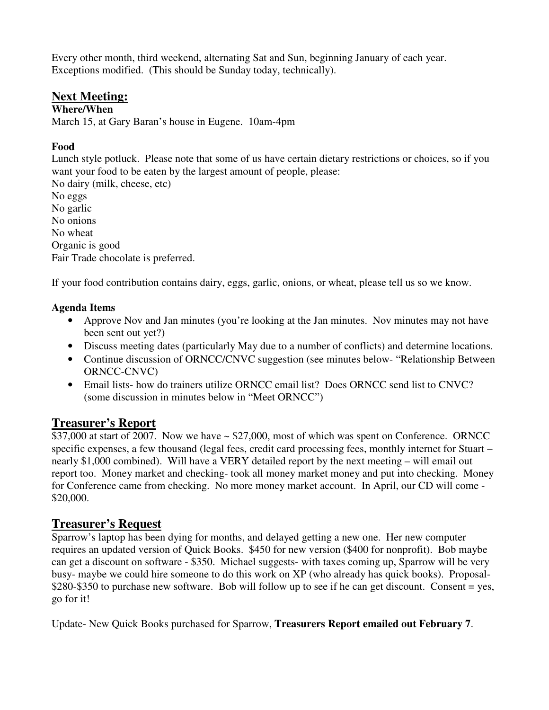Every other month, third weekend, alternating Sat and Sun, beginning January of each year. Exceptions modified. (This should be Sunday today, technically).

## **Next Meeting:**

#### **Where/When**

March 15, at Gary Baran's house in Eugene. 10am-4pm

## **Food**

Lunch style potluck. Please note that some of us have certain dietary restrictions or choices, so if you want your food to be eaten by the largest amount of people, please: No dairy (milk, cheese, etc)

No eggs No garlic No onions No wheat Organic is good Fair Trade chocolate is preferred.

If your food contribution contains dairy, eggs, garlic, onions, or wheat, please tell us so we know.

## **Agenda Items**

- Approve Nov and Jan minutes (you're looking at the Jan minutes. Nov minutes may not have been sent out yet?)
- Discuss meeting dates (particularly May due to a number of conflicts) and determine locations.
- Continue discussion of ORNCC/CNVC suggestion (see minutes below- "Relationship Between ORNCC-CNVC)
- Email lists- how do trainers utilize ORNCC email list? Does ORNCC send list to CNVC? (some discussion in minutes below in "Meet ORNCC")

# **Treasurer's Report**

\$37,000 at start of 2007. Now we have  $\sim$  \$27,000, most of which was spent on Conference. ORNCC specific expenses, a few thousand (legal fees, credit card processing fees, monthly internet for Stuart – nearly \$1,000 combined). Will have a VERY detailed report by the next meeting – will email out report too. Money market and checking- took all money market money and put into checking. Money for Conference came from checking. No more money market account. In April, our CD will come - \$20,000.

# **Treasurer's Request**

Sparrow's laptop has been dying for months, and delayed getting a new one. Her new computer requires an updated version of Quick Books. \$450 for new version (\$400 for nonprofit). Bob maybe can get a discount on software - \$350. Michael suggests- with taxes coming up, Sparrow will be very busy- maybe we could hire someone to do this work on XP (who already has quick books). Proposal- \$280-\$350 to purchase new software. Bob will follow up to see if he can get discount. Consent = yes, go for it!

Update- New Quick Books purchased for Sparrow, **Treasurers Report emailed out February 7**.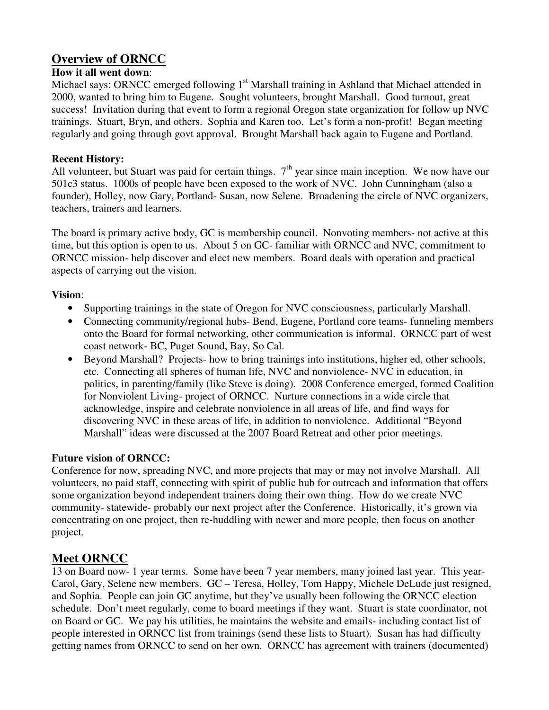# **Overview of ORNCC**

### **How it all went down**:

Michael says: ORNCC emerged following 1<sup>st</sup> Marshall training in Ashland that Michael attended in 2000, wanted to bring him to Eugene. Sought volunteers, brought Marshall. Good turnout, great success! Invitation during that event to form a regional Oregon state organization for follow up NVC trainings. Stuart, Bryn, and others. Sophia and Karen too. Let's form a non-profit! Began meeting regularly and going through govt approval. Brought Marshall back again to Eugene and Portland.

### **Recent History:**

All volunteer, but Stuart was paid for certain things.  $7<sup>th</sup>$  year since main inception. We now have our 501c3 status. 1000s of people have been exposed to the work of NVC. John Cunningham (also a founder), Holley, now Gary, Portland- Susan, now Selene. Broadening the circle of NVC organizers, teachers, trainers and learners.

The board is primary active body, GC is membership council. Nonvoting members- not active at this time, but this option is open to us. About 5 on GC- familiar with ORNCC and NVC, commitment to ORNCC mission- help discover and elect new members. Board deals with operation and practical aspects of carrying out the vision.

### **Vision**:

- Supporting trainings in the state of Oregon for NVC consciousness, particularly Marshall.
- Connecting community/regional hubs- Bend, Eugene, Portland core teams- funneling members onto the Board for formal networking, other communication is informal. ORNCC part of west coast network- BC, Puget Sound, Bay, So Cal.
- Beyond Marshall? Projects- how to bring trainings into institutions, higher ed, other schools, etc. Connecting all spheres of human life, NVC and nonviolence- NVC in education, in politics, in parenting/family (like Steve is doing). 2008 Conference emerged, formed Coalition for Nonviolent Living- project of ORNCC. Nurture connections in a wide circle that acknowledge, inspire and celebrate nonviolence in all areas of life, and find ways for discovering NVC in these areas of life, in addition to nonviolence. Additional "Beyond Marshall" ideas were discussed at the 2007 Board Retreat and other prior meetings.

## **Future vision of ORNCC:**

Conference for now, spreading NVC, and more projects that may or may not involve Marshall. All volunteers, no paid staff, connecting with spirit of public hub for outreach and information that offers some organization beyond independent trainers doing their own thing. How do we create NVC community- statewide- probably our next project after the Conference. Historically, it's grown via concentrating on one project, then re-huddling with newer and more people, then focus on another project.

# **Meet ORNCC**

13 on Board now- 1 year terms. Some have been 7 year members, many joined last year. This year-Carol, Gary, Selene new members. GC – Teresa, Holley, Tom Happy, Michele DeLude just resigned, and Sophia. People can join GC anytime, but they've usually been following the ORNCC election schedule. Don't meet regularly, come to board meetings if they want. Stuart is state coordinator, not on Board or GC. We pay his utilities, he maintains the website and emails- including contact list of people interested in ORNCC list from trainings (send these lists to Stuart). Susan has had difficulty getting names from ORNCC to send on her own. ORNCC has agreement with trainers (documented)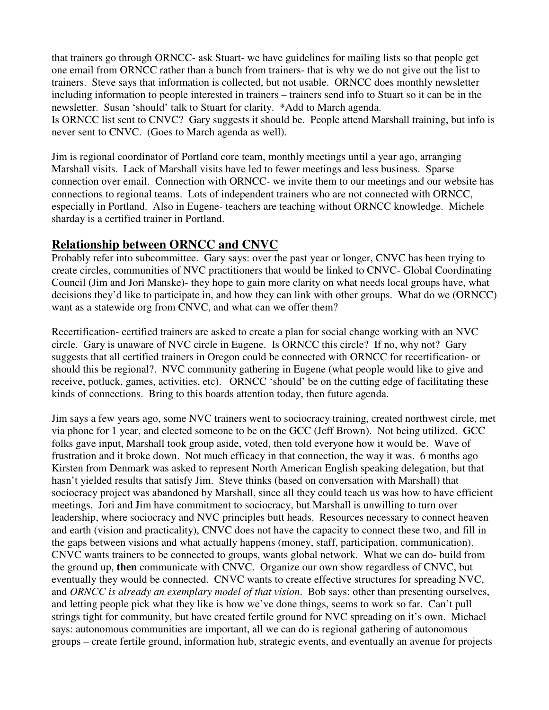that trainers go through ORNCC- ask Stuart- we have guidelines for mailing lists so that people get one email from ORNCC rather than a bunch from trainers- that is why we do not give out the list to trainers. Steve says that information is collected, but not usable. ORNCC does monthly newsletter including information to people interested in trainers – trainers send info to Stuart so it can be in the newsletter. Susan 'should' talk to Stuart for clarity. \*Add to March agenda.

Is ORNCC list sent to CNVC? Gary suggests it should be. People attend Marshall training, but info is never sent to CNVC. (Goes to March agenda as well).

Jim is regional coordinator of Portland core team, monthly meetings until a year ago, arranging Marshall visits. Lack of Marshall visits have led to fewer meetings and less business. Sparse connection over email. Connection with ORNCC- we invite them to our meetings and our website has connections to regional teams. Lots of independent trainers who are not connected with ORNCC, especially in Portland. Also in Eugene- teachers are teaching without ORNCC knowledge. Michele sharday is a certified trainer in Portland.

## **Relationship between ORNCC and CNVC**

Probably refer into subcommittee. Gary says: over the past year or longer, CNVC has been trying to create circles, communities of NVC practitioners that would be linked to CNVC- Global Coordinating Council (Jim and Jori Manske)- they hope to gain more clarity on what needs local groups have, what decisions they'd like to participate in, and how they can link with other groups. What do we (ORNCC) want as a statewide org from CNVC, and what can we offer them?

Recertification- certified trainers are asked to create a plan for social change working with an NVC circle. Gary is unaware of NVC circle in Eugene. Is ORNCC this circle? If no, why not? Gary suggests that all certified trainers in Oregon could be connected with ORNCC for recertification- or should this be regional?. NVC community gathering in Eugene (what people would like to give and receive, potluck, games, activities, etc). ORNCC 'should' be on the cutting edge of facilitating these kinds of connections. Bring to this boards attention today, then future agenda.

Jim says a few years ago, some NVC trainers went to sociocracy training, created northwest circle, met via phone for 1 year, and elected someone to be on the GCC (Jeff Brown). Not being utilized. GCC folks gave input, Marshall took group aside, voted, then told everyone how it would be. Wave of frustration and it broke down. Not much efficacy in that connection, the way it was. 6 months ago Kirsten from Denmark was asked to represent North American English speaking delegation, but that hasn't yielded results that satisfy Jim. Steve thinks (based on conversation with Marshall) that sociocracy project was abandoned by Marshall, since all they could teach us was how to have efficient meetings. Jori and Jim have commitment to sociocracy, but Marshall is unwilling to turn over leadership, where sociocracy and NVC principles butt heads. Resources necessary to connect heaven and earth (vision and practicality), CNVC does not have the capacity to connect these two, and fill in the gaps between visions and what actually happens (money, staff, participation, communication). CNVC wants trainers to be connected to groups, wants global network. What we can do- build from the ground up, **then** communicate with CNVC. Organize our own show regardless of CNVC, but eventually they would be connected. CNVC wants to create effective structures for spreading NVC, and *ORNCC is already an exemplary model of that vision*. Bob says: other than presenting ourselves, and letting people pick what they like is how we've done things, seems to work so far. Can't pull strings tight for community, but have created fertile ground for NVC spreading on it's own. Michael says: autonomous communities are important, all we can do is regional gathering of autonomous groups – create fertile ground, information hub, strategic events, and eventually an avenue for projects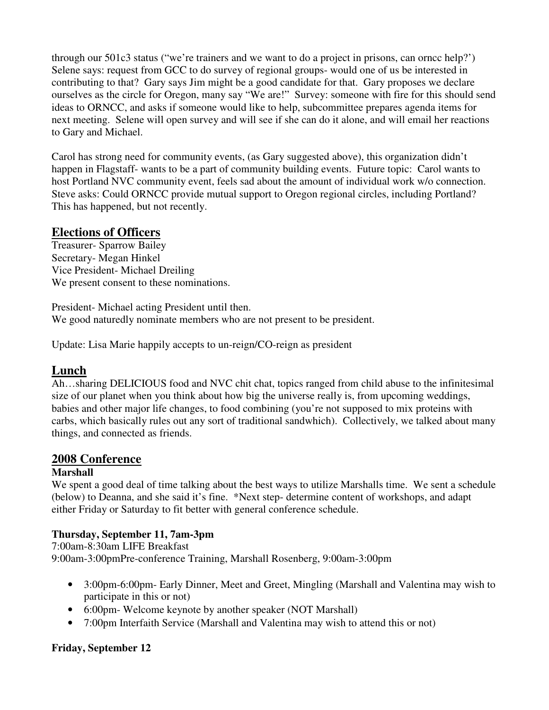through our 501c3 status ("we're trainers and we want to do a project in prisons, can orncc help?') Selene says: request from GCC to do survey of regional groups- would one of us be interested in contributing to that? Gary says Jim might be a good candidate for that. Gary proposes we declare ourselves as the circle for Oregon, many say "We are!" Survey: someone with fire for this should send ideas to ORNCC, and asks if someone would like to help, subcommittee prepares agenda items for next meeting. Selene will open survey and will see if she can do it alone, and will email her reactions to Gary and Michael.

Carol has strong need for community events, (as Gary suggested above), this organization didn't happen in Flagstaff- wants to be a part of community building events. Future topic: Carol wants to host Portland NVC community event, feels sad about the amount of individual work w/o connection. Steve asks: Could ORNCC provide mutual support to Oregon regional circles, including Portland? This has happened, but not recently.

# **Elections of Officers**

Treasurer- Sparrow Bailey Secretary- Megan Hinkel Vice President- Michael Dreiling We present consent to these nominations.

President- Michael acting President until then. We good naturedly nominate members who are not present to be president.

Update: Lisa Marie happily accepts to un-reign/CO-reign as president

## **Lunch**

Ah…sharing DELICIOUS food and NVC chit chat, topics ranged from child abuse to the infinitesimal size of our planet when you think about how big the universe really is, from upcoming weddings, babies and other major life changes, to food combining (you're not supposed to mix proteins with carbs, which basically rules out any sort of traditional sandwhich). Collectively, we talked about many things, and connected as friends.

# **2008 Conference**

## **Marshall**

We spent a good deal of time talking about the best ways to utilize Marshalls time. We sent a schedule (below) to Deanna, and she said it's fine. \*Next step- determine content of workshops, and adapt either Friday or Saturday to fit better with general conference schedule.

## **Thursday, September 11, 7am-3pm**

7:00am-8:30am LIFE Breakfast 9:00am-3:00pmPre-conference Training, Marshall Rosenberg, 9:00am-3:00pm

- 3:00pm-6:00pm- Early Dinner, Meet and Greet, Mingling (Marshall and Valentina may wish to participate in this or not)
- 6:00pm- Welcome keynote by another speaker (NOT Marshall)
- 7:00pm Interfaith Service (Marshall and Valentina may wish to attend this or not)

## **Friday, September 12**